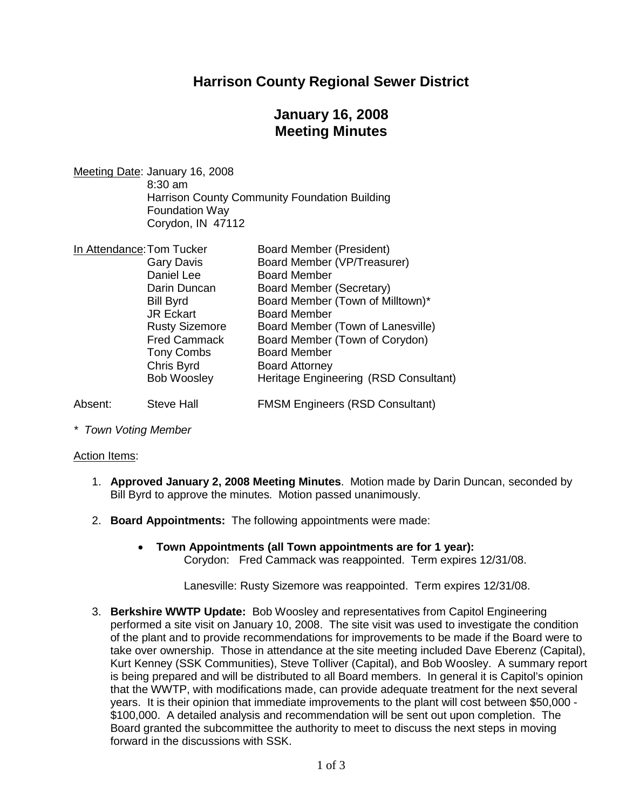## **Harrison County Regional Sewer District**

# **January 16, 2008 Meeting Minutes**

Meeting Date: January 16, 2008 8:30 am Harrison County Community Foundation Building Foundation Way Corydon, IN 47112

| In Attendance: Tom Tucker |                       | <b>Board Member (President)</b>        |
|---------------------------|-----------------------|----------------------------------------|
|                           | <b>Gary Davis</b>     | Board Member (VP/Treasurer)            |
|                           | Daniel Lee            | <b>Board Member</b>                    |
|                           | Darin Duncan          | Board Member (Secretary)               |
|                           | <b>Bill Byrd</b>      | Board Member (Town of Milltown)*       |
|                           | <b>JR Eckart</b>      | <b>Board Member</b>                    |
|                           | <b>Rusty Sizemore</b> | Board Member (Town of Lanesville)      |
|                           | <b>Fred Cammack</b>   | Board Member (Town of Corydon)         |
|                           | <b>Tony Combs</b>     | <b>Board Member</b>                    |
|                           | Chris Byrd            | <b>Board Attorney</b>                  |
|                           | <b>Bob Woosley</b>    | Heritage Engineering (RSD Consultant)  |
| Absent:                   | Steve Hall            | <b>FMSM Engineers (RSD Consultant)</b> |

*\* Town Voting Member*

Action Items:

- 1. **Approved January 2, 2008 Meeting Minutes**. Motion made by Darin Duncan, seconded by Bill Byrd to approve the minutes. Motion passed unanimously.
- 2. **Board Appointments:** The following appointments were made:
	- **Town Appointments (all Town appointments are for 1 year):** Corydon: Fred Cammack was reappointed. Term expires 12/31/08.

Lanesville: Rusty Sizemore was reappointed. Term expires 12/31/08.

3. **Berkshire WWTP Update:** Bob Woosley and representatives from Capitol Engineering performed a site visit on January 10, 2008. The site visit was used to investigate the condition of the plant and to provide recommendations for improvements to be made if the Board were to take over ownership. Those in attendance at the site meeting included Dave Eberenz (Capital), Kurt Kenney (SSK Communities), Steve Tolliver (Capital), and Bob Woosley. A summary report is being prepared and will be distributed to all Board members. In general it is Capitol's opinion that the WWTP, with modifications made, can provide adequate treatment for the next several years. It is their opinion that immediate improvements to the plant will cost between \$50,000 - \$100,000. A detailed analysis and recommendation will be sent out upon completion. The Board granted the subcommittee the authority to meet to discuss the next steps in moving forward in the discussions with SSK.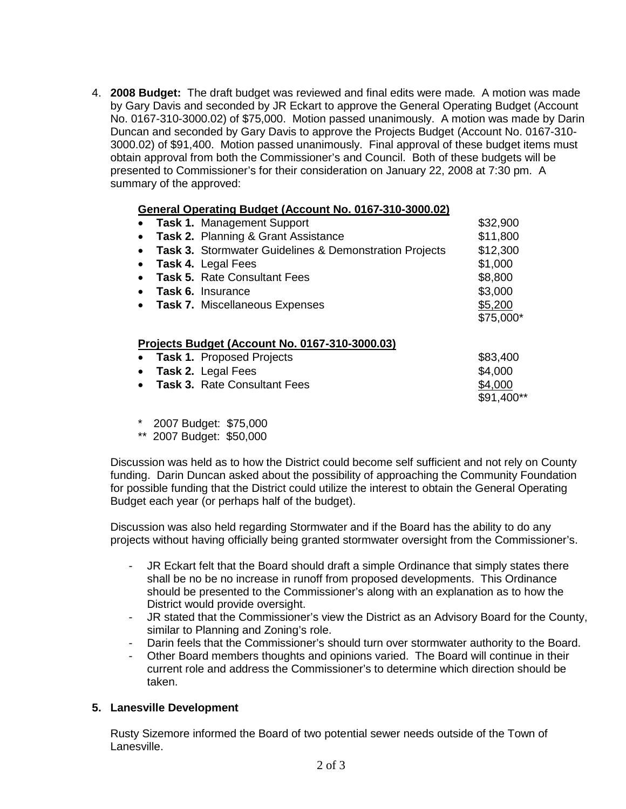4. **2008 Budget:** The draft budget was reviewed and final edits were made. A motion was made by Gary Davis and seconded by JR Eckart to approve the General Operating Budget (Account No. 0167-310-3000.02) of \$75,000. Motion passed unanimously. A motion was made by Darin Duncan and seconded by Gary Davis to approve the Projects Budget (Account No. 0167-310- 3000.02) of \$91,400. Motion passed unanimously. Final approval of these budget items must obtain approval from both the Commissioner's and Council. Both of these budgets will be presented to Commissioner's for their consideration on January 22, 2008 at 7:30 pm. A summary of the approved:

#### **General Operating Budget (Account No. 0167-310-3000.02)**

| $\bullet$ | <b>Task 1. Management Support</b>                                 | \$32,900   |
|-----------|-------------------------------------------------------------------|------------|
| $\bullet$ | Task 2. Planning & Grant Assistance                               | \$11,800   |
| $\bullet$ | <b>Task 3. Stormwater Guidelines &amp; Demonstration Projects</b> | \$12,300   |
|           | <b>Task 4. Legal Fees</b>                                         | \$1,000    |
|           | <b>Task 5. Rate Consultant Fees</b>                               | \$8,800    |
| $\bullet$ | <b>Task 6. Insurance</b>                                          | \$3,000    |
| $\bullet$ | <b>Task 7. Miscellaneous Expenses</b>                             | \$5,200    |
|           |                                                                   | \$75,000*  |
|           | Projects Budget (Account No. 0167-310-3000.03)                    |            |
| $\bullet$ | <b>Task 1. Proposed Projects</b>                                  | \$83,400   |
| $\bullet$ | Task 2. Legal Fees                                                | \$4,000    |
|           | <b>Task 3. Rate Consultant Fees</b>                               | \$4,000    |
|           |                                                                   | \$91,400** |

- \* 2007 Budget: \$75,000
- \*\* 2007 Budget: \$50,000

Discussion was held as to how the District could become self sufficient and not rely on County funding. Darin Duncan asked about the possibility of approaching the Community Foundation for possible funding that the District could utilize the interest to obtain the General Operating Budget each year (or perhaps half of the budget).

Discussion was also held regarding Stormwater and if the Board has the ability to do any projects without having officially being granted stormwater oversight from the Commissioner's.

- JR Eckart felt that the Board should draft a simple Ordinance that simply states there shall be no be no increase in runoff from proposed developments. This Ordinance should be presented to the Commissioner's along with an explanation as to how the District would provide oversight.
- JR stated that the Commissioner's view the District as an Advisory Board for the County, similar to Planning and Zoning's role.
- Darin feels that the Commissioner's should turn over stormwater authority to the Board.
- Other Board members thoughts and opinions varied. The Board will continue in their current role and address the Commissioner's to determine which direction should be taken.

### **5. Lanesville Development**

Rusty Sizemore informed the Board of two potential sewer needs outside of the Town of Lanesville.